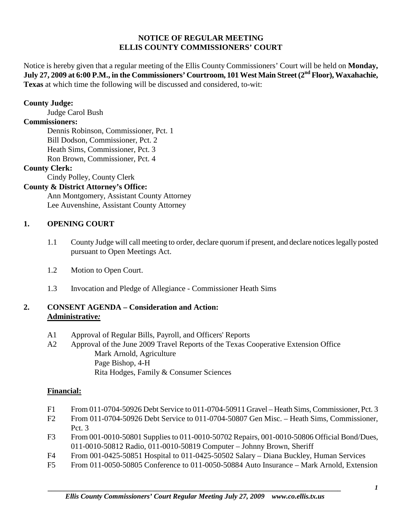#### **NOTICE OF REGULAR MEETING ELLIS COUNTY COMMISSIONERS' COURT**

Notice is hereby given that a regular meeting of the Ellis County Commissioners' Court will be held on **Monday, July 27, 2009 at 6:00 P.M., in the Commissioners' Courtroom, 101 West Main Street (2nd Floor), Waxahachie, Texas** at which time the following will be discussed and considered, to-wit:

#### **County Judge:**

Judge Carol Bush

# **Commissioners:**

Dennis Robinson, Commissioner, Pct. 1 Bill Dodson, Commissioner, Pct. 2 Heath Sims, Commissioner, Pct. 3 Ron Brown, Commissioner, Pct. 4

#### **County Clerk:**

Cindy Polley, County Clerk

# **County & District Attorney's Office:**

Ann Montgomery, Assistant County Attorney Lee Auvenshine, Assistant County Attorney

# **1. OPENING COURT**

- 1.1 County Judge will call meeting to order, declare quorum if present, and declare notices legally posted pursuant to Open Meetings Act.
- 1.2 Motion to Open Court.
- 1.3 Invocation and Pledge of Allegiance Commissioner Heath Sims

# **2. CONSENT AGENDA – Consideration and Action: Administrative***:*

- A1 Approval of Regular Bills, Payroll, and Officers' Reports
- A2 Approval of the June 2009 Travel Reports of the Texas Cooperative Extension Office Mark Arnold, Agriculture Page Bishop, 4-H Rita Hodges, Family & Consumer Sciences

# **Financial:**

- F1 From 011-0704-50926 Debt Service to 011-0704-50911 Gravel Heath Sims, Commissioner, Pct. 3
- F2 From 011-0704-50926 Debt Service to 011-0704-50807 Gen Misc. Heath Sims, Commissioner, Pct. 3
- F3 From 001-0010-50801 Supplies to 011-0010-50702 Repairs, 001-0010-50806 Official Bond/Dues, 011-0010-50812 Radio, 011-0010-50819 Computer – Johnny Brown, Sheriff
- F4 From 001-0425-50851 Hospital to 011-0425-50502 Salary Diana Buckley, Human Services
- F5 From 011-0050-50805 Conference to 011-0050-50884 Auto Insurance Mark Arnold, Extension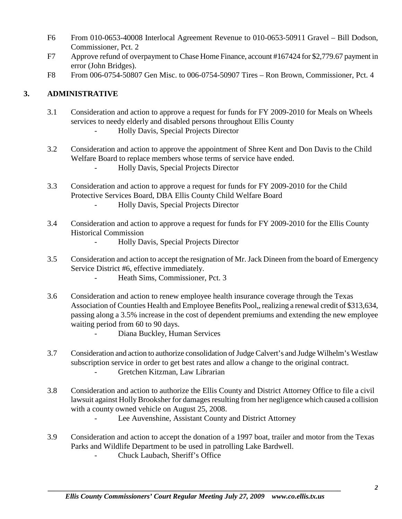- F6 From 010-0653-40008 Interlocal Agreement Revenue to 010-0653-50911 Gravel Bill Dodson, Commissioner, Pct. 2
- F7 Approve refund of overpayment to Chase Home Finance, account #167424 for \$2,779.67 payment in error (John Bridges).
- F8 From 006-0754-50807 Gen Misc. to 006-0754-50907 Tires Ron Brown, Commissioner, Pct. 4

# **3. ADMINISTRATIVE**

- 3.1 Consideration and action to approve a request for funds for FY 2009-2010 for Meals on Wheels services to needy elderly and disabled persons throughout Ellis County
	- Holly Davis, Special Projects Director
- 3.2 Consideration and action to approve the appointment of Shree Kent and Don Davis to the Child Welfare Board to replace members whose terms of service have ended.
	- Holly Davis, Special Projects Director
- 3.3 Consideration and action to approve a request for funds for FY 2009-2010 for the Child Protective Services Board, DBA Ellis County Child Welfare Board
	- Holly Davis, Special Projects Director
- 3.4 Consideration and action to approve a request for funds for FY 2009-2010 for the Ellis County Historical Commission
	- Holly Davis, Special Projects Director
- 3.5 Consideration and action to accept the resignation of Mr. Jack Dineen from the board of Emergency Service District #6, effective immediately.
	- Heath Sims, Commissioner, Pct. 3
- 3.6 Consideration and action to renew employee health insurance coverage through the Texas Association of Counties Health and Employee Benefits Pool,, realizing a renewal credit of \$313,634, passing along a 3.5% increase in the cost of dependent premiums and extending the new employee waiting period from 60 to 90 days.
	- Diana Buckley, Human Services
- 3.7 Consideration and action to authorize consolidation of Judge Calvert's and Judge Wilhelm's Westlaw subscription service in order to get best rates and allow a change to the original contract. - Gretchen Kitzman, Law Librarian
- 3.8 Consideration and action to authorize the Ellis County and District Attorney Office to file a civil lawsuit against Holly Brooksher for damages resulting from her negligence which caused a collision with a county owned vehicle on August 25, 2008.
	- Lee Auvenshine, Assistant County and District Attorney
- 3.9 Consideration and action to accept the donation of a 1997 boat, trailer and motor from the Texas Parks and Wildlife Department to be used in patrolling Lake Bardwell.
	- Chuck Laubach, Sheriff's Office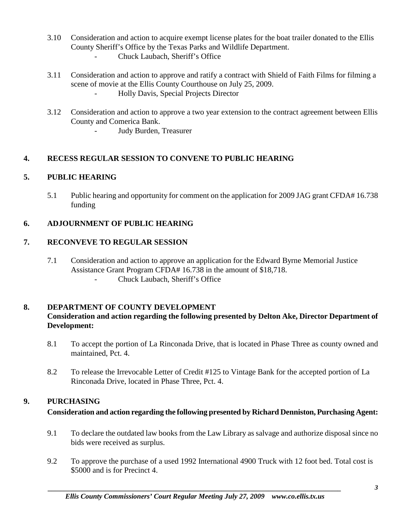- 3.10 Consideration and action to acquire exempt license plates for the boat trailer donated to the Ellis County Sheriff's Office by the Texas Parks and Wildlife Department.
	- Chuck Laubach, Sheriff's Office
- 3.11 Consideration and action to approve and ratify a contract with Shield of Faith Films for filming a scene of movie at the Ellis County Courthouse on July 25, 2009. - Holly Davis, Special Projects Director
- 3.12 Consideration and action to approve a two year extension to the contract agreement between Ellis County and Comerica Bank.
	- Judy Burden, Treasurer

# **4. RECESS REGULAR SESSION TO CONVENE TO PUBLIC HEARING**

# **5. PUBLIC HEARING**

5.1 Public hearing and opportunity for comment on the application for 2009 JAG grant CFDA# 16.738 funding

# **6. ADJOURNMENT OF PUBLIC HEARING**

# **7. RECONVEVE TO REGULAR SESSION**

- 7.1 Consideration and action to approve an application for the Edward Byrne Memorial Justice Assistance Grant Program CFDA# 16.738 in the amount of \$18,718. - Chuck Laubach, Sheriff's Office
	-

#### **8. DEPARTMENT OF COUNTY DEVELOPMENT Consideration and action regarding the following presented by Delton Ake, Director Department of Development:**

- 8.1 To accept the portion of La Rinconada Drive, that is located in Phase Three as county owned and maintained, Pct. 4.
- 8.2 To release the Irrevocable Letter of Credit #125 to Vintage Bank for the accepted portion of La Rinconada Drive, located in Phase Three, Pct. 4.

#### **9. PURCHASING**

#### **Consideration and action regarding the following presented by Richard Denniston, Purchasing Agent:**

- 9.1 To declare the outdated law books from the Law Library as salvage and authorize disposal since no bids were received as surplus.
- 9.2 To approve the purchase of a used 1992 International 4900 Truck with 12 foot bed. Total cost is \$5000 and is for Precinct 4.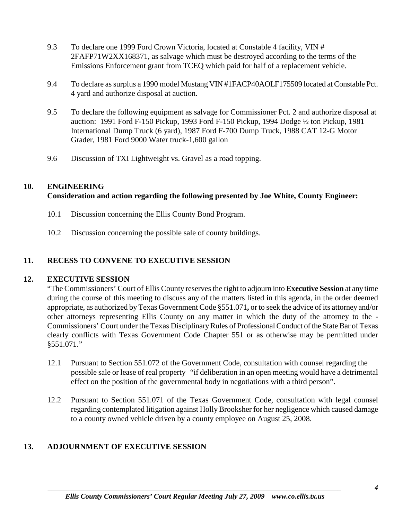- 9.3 To declare one 1999 Ford Crown Victoria, located at Constable 4 facility, VIN # 2FAFP71W2XX168371, as salvage which must be destroyed according to the terms of the Emissions Enforcement grant from TCEQ which paid for half of a replacement vehicle.
- 9.4 To declare as surplus a 1990 model Mustang VIN #1FACP40AOLF175509 located at Constable Pct. 4 yard and authorize disposal at auction.
- 9.5 To declare the following equipment as salvage for Commissioner Pct. 2 and authorize disposal at auction: 1991 Ford F-150 Pickup, 1993 Ford F-150 Pickup, 1994 Dodge ½ ton Pickup, 1981 International Dump Truck (6 yard), 1987 Ford F-700 Dump Truck, 1988 CAT 12-G Motor Grader, 1981 Ford 9000 Water truck-1,600 gallon
- 9.6 Discussion of TXI Lightweight vs. Gravel as a road topping.

#### **10. ENGINEERING**

# **Consideration and action regarding the following presented by Joe White, County Engineer:**

- 10.1 Discussion concerning the Ellis County Bond Program.
- 10.2 Discussion concerning the possible sale of county buildings.

### **11. RECESS TO CONVENE TO EXECUTIVE SESSION**

#### **12. EXECUTIVE SESSION**

"The Commissioners' Court of Ellis County reserves the right to adjourn into **Executive Session** at any time during the course of this meeting to discuss any of the matters listed in this agenda, in the order deemed appropriate, as authorized by Texas Government Code §551.071**,** or to seek the advice of its attorney and/or other attorneys representing Ellis County on any matter in which the duty of the attorney to the - Commissioners' Court under the Texas Disciplinary Rules of Professional Conduct of the State Bar of Texas clearly conflicts with Texas Government Code Chapter 551 or as otherwise may be permitted under §551.071."

- 12.1 Pursuant to Section 551.072 of the Government Code, consultation with counsel regarding the possible sale or lease of real property "if deliberation in an open meeting would have a detrimental effect on the position of the governmental body in negotiations with a third person".
- 12.2 Pursuant to Section 551.071 of the Texas Government Code, consultation with legal counsel regarding contemplated litigation against Holly Brooksher for her negligence which caused damage to a county owned vehicle driven by a county employee on August 25, 2008.

# **13. ADJOURNMENT OF EXECUTIVE SESSION**